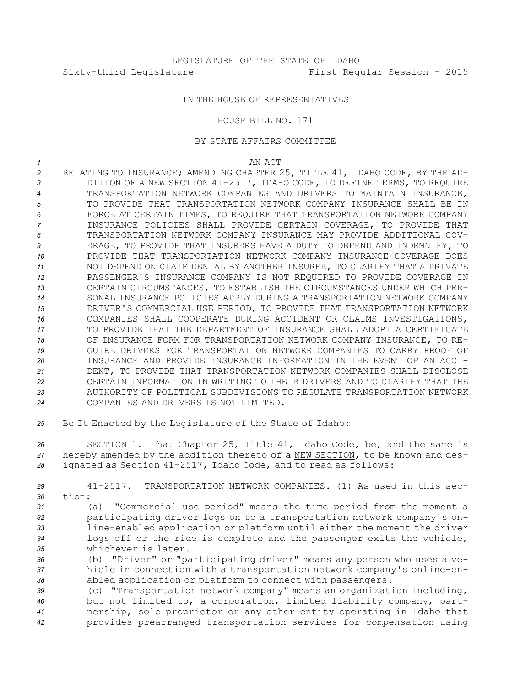## IN THE HOUSE OF REPRESENTATIVES

## HOUSE BILL NO. 171

## BY STATE AFFAIRS COMMITTEE

*1* AN ACT

- *<sup>2</sup>* RELATING TO INSURANCE; AMENDING CHAPTER 25, TITLE 41, IDAHO CODE, BY THE AD-*<sup>3</sup>* DITION OF A NEW SECTION 41-2517, IDAHO CODE, TO DEFINE TERMS, TO REQUIRE *4* TRANSPORTATION NETWORK COMPANIES AND DRIVERS TO MAINTAIN INSURANCE, *5* TO PROVIDE THAT TRANSPORTATION NETWORK COMPANY INSURANCE SHALL BE IN *6* FORCE AT CERTAIN TIMES, TO REQUIRE THAT TRANSPORTATION NETWORK COMPANY *7* INSURANCE POLICIES SHALL PROVIDE CERTAIN COVERAGE, TO PROVIDE THAT *8* TRANSPORTATION NETWORK COMPANY INSURANCE MAY PROVIDE ADDITIONAL COV-*9* ERAGE, TO PROVIDE THAT INSURERS HAVE A DUTY TO DEFEND AND INDEMNIFY, TO *10* PROVIDE THAT TRANSPORTATION NETWORK COMPANY INSURANCE COVERAGE DOES *11* NOT DEPEND ON CLAIM DENIAL BY ANOTHER INSURER, TO CLARIFY THAT A PRIVATE *12* PASSENGER'S INSURANCE COMPANY IS NOT REQUIRED TO PROVIDE COVERAGE IN *13* CERTAIN CIRCUMSTANCES, TO ESTABLISH THE CIRCUMSTANCES UNDER WHICH PER-*14* SONAL INSURANCE POLICIES APPLY DURING A TRANSPORTATION NETWORK COMPANY *15* DRIVER'S COMMERCIAL USE PERIOD, TO PROVIDE THAT TRANSPORTATION NETWORK *16* COMPANIES SHALL COOPERATE DURING ACCIDENT OR CLAIMS INVESTIGATIONS, *17* TO PROVIDE THAT THE DEPARTMENT OF INSURANCE SHALL ADOPT A CERTIFICATE *18* OF INSURANCE FORM FOR TRANSPORTATION NETWORK COMPANY INSURANCE, TO RE-*19* QUIRE DRIVERS FOR TRANSPORTATION NETWORK COMPANIES TO CARRY PROOF OF *20* INSURANCE AND PROVIDE INSURANCE INFORMATION IN THE EVENT OF AN ACCI-*21* DENT, TO PROVIDE THAT TRANSPORTATION NETWORK COMPANIES SHALL DISCLOSE *22* CERTAIN INFORMATION IN WRITING TO THEIR DRIVERS AND TO CLARIFY THAT THE *23* AUTHORITY OF POLITICAL SUBDIVISIONS TO REGULATE TRANSPORTATION NETWORK *24* COMPANIES AND DRIVERS IS NOT LIMITED.
- *<sup>25</sup>* Be It Enacted by the Legislature of the State of Idaho:

*<sup>26</sup>* SECTION 1. That Chapter 25, Title 41, Idaho Code, be, and the same is *<sup>27</sup>* hereby amended by the addition thereto of <sup>a</sup> NEW SECTION, to be known and des-*<sup>28</sup>* ignated as Section 41-2517, Idaho Code, and to read as follows:

*29* 41-2517. TRANSPORTATION NETWORK COMPANIES. (1) As used in this sec-*30* tion:

 (a) "Commercial use period" means the time period from the moment <sup>a</sup> participating driver logs on to <sup>a</sup> transportation network company's on- line-enabled application or platform until either the moment the driver logs off or the ride is complete and the passenger exits the vehicle, whichever is later.

*<sup>36</sup>* (b) "Driver" or "participating driver" means any person who uses <sup>a</sup> ve-*<sup>37</sup>* hicle in connection with <sup>a</sup> transportation network company's online-en-*<sup>38</sup>* abled application or platform to connect with passengers.

 (c) "Transportation network company" means an organization including, but not limited to, <sup>a</sup> corporation, limited liability company, part- nership, sole proprietor or any other entity operating in Idaho that provides prearranged transportation services for compensation using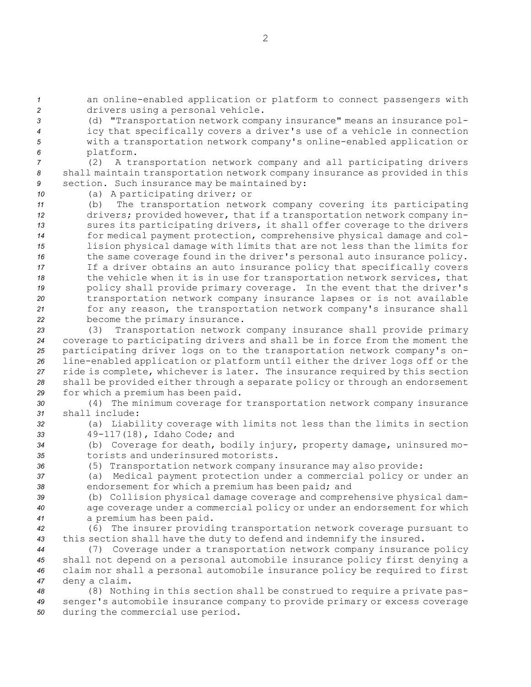*<sup>1</sup>* an online-enabled application or platform to connect passengers with *<sup>2</sup>* drivers using <sup>a</sup> personal vehicle.

 (d) "Transportation network company insurance" means an insurance pol- icy that specifically covers <sup>a</sup> driver's use of <sup>a</sup> vehicle in connection with <sup>a</sup> transportation network company's online-enabled application or platform.

*<sup>7</sup>* (2) <sup>A</sup> transportation network company and all participating drivers *<sup>8</sup>* shall maintain transportation network company insurance as provided in this *<sup>9</sup>* section. Such insurance may be maintained by:

*<sup>10</sup>* (a) <sup>A</sup> participating driver; or

 (b) The transportation network company covering its participating drivers; provided however, that if <sup>a</sup> transportation network company in- sures its participating drivers, it shall offer coverage to the drivers for medical payment protection, comprehensive physical damage and col- lision physical damage with limits that are not less than the limits for the same coverage found in the driver's personal auto insurance policy. If <sup>a</sup> driver obtains an auto insurance policy that specifically covers the vehicle when it is in use for transportation network services, that policy shall provide primary coverage. In the event that the driver's transportation network company insurance lapses or is not available for any reason, the transportation network company's insurance shall become the primary insurance.

 (3) Transportation network company insurance shall provide primary coverage to participating drivers and shall be in force from the moment the participating driver logs on to the transportation network company's on- line-enabled application or platform until either the driver logs off or the ride is complete, whichever is later. The insurance required by this section shall be provided either through <sup>a</sup> separate policy or through an endorsement for which <sup>a</sup> premium has been paid.

*<sup>30</sup>* (4) The minimum coverage for transportation network company insurance *31* shall include:

*<sup>32</sup>* (a) Liability coverage with limits not less than the limits in section *<sup>33</sup>* 49-117(18), Idaho Code; and

*<sup>34</sup>* (b) Coverage for death, bodily injury, property damage, uninsured mo-*35* torists and underinsured motorists.

*<sup>36</sup>* (5) Transportation network company insurance may also provide:

*<sup>37</sup>* (a) Medical payment protection under <sup>a</sup> commercial policy or under an *<sup>38</sup>* endorsement for which <sup>a</sup> premium has been paid; and

*<sup>39</sup>* (b) Collision physical damage coverage and comprehensive physical dam-*<sup>40</sup>* age coverage under <sup>a</sup> commercial policy or under an endorsement for which *<sup>41</sup>* <sup>a</sup> premium has been paid.

*<sup>42</sup>* (6) The insurer providing transportation network coverage pursuant to *<sup>43</sup>* this section shall have the duty to defend and indemnify the insured.

 (7) Coverage under <sup>a</sup> transportation network company insurance policy shall not depend on <sup>a</sup> personal automobile insurance policy first denying <sup>a</sup> claim nor shall <sup>a</sup> personal automobile insurance policy be required to first deny <sup>a</sup> claim.

*<sup>48</sup>* (8) Nothing in this section shall be construed to require <sup>a</sup> private pas-*<sup>49</sup>* senger's automobile insurance company to provide primary or excess coverage *<sup>50</sup>* during the commercial use period.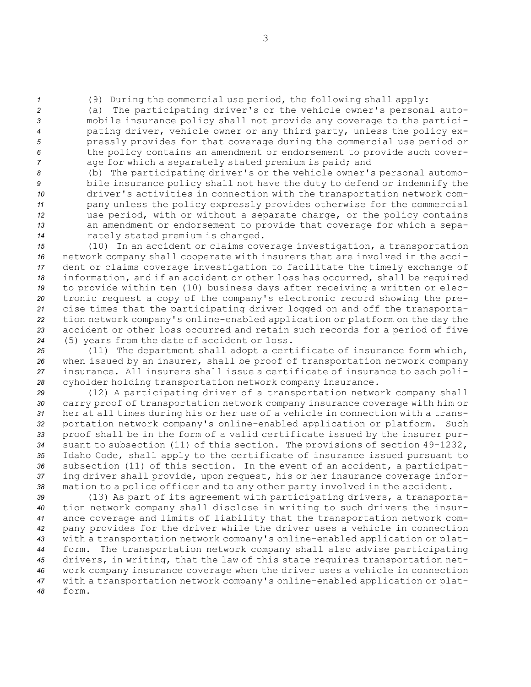*<sup>1</sup>* (9) During the commercial use period, the following shall apply:

 (a) The participating driver's or the vehicle owner's personal auto- mobile insurance policy shall not provide any coverage to the partici- pating driver, vehicle owner or any third party, unless the policy ex- pressly provides for that coverage during the commercial use period or the policy contains an amendment or endorsement to provide such cover-age for which <sup>a</sup> separately stated premium is paid; and

 (b) The participating driver's or the vehicle owner's personal automo- bile insurance policy shall not have the duty to defend or indemnify the driver's activities in connection with the transportation network com- pany unless the policy expressly provides otherwise for the commercial use period, with or without <sup>a</sup> separate charge, or the policy contains an amendment or endorsement to provide that coverage for which <sup>a</sup> sepa-rately stated premium is charged.

 (10) In an accident or claims coverage investigation, <sup>a</sup> transportation network company shall cooperate with insurers that are involved in the acci- dent or claims coverage investigation to facilitate the timely exchange of information, and if an accident or other loss has occurred, shall be required to provide within ten (10) business days after receiving <sup>a</sup> written or elec- tronic request <sup>a</sup> copy of the company's electronic record showing the pre- cise times that the participating driver logged on and off the transporta- tion network company's online-enabled application or platform on the day the accident or other loss occurred and retain such records for <sup>a</sup> period of five (5) years from the date of accident or loss.

 (11) The department shall adopt <sup>a</sup> certificate of insurance form which, when issued by an insurer, shall be proof of transportation network company insurance. All insurers shall issue <sup>a</sup> certificate of insurance to each poli-cyholder holding transportation network company insurance.

 (12) <sup>A</sup> participating driver of <sup>a</sup> transportation network company shall carry proof of transportation network company insurance coverage with him or her at all times during his or her use of <sup>a</sup> vehicle in connection with <sup>a</sup> trans- portation network company's online-enabled application or platform. Such proof shall be in the form of <sup>a</sup> valid certificate issued by the insurer pur- suant to subsection (11) of this section. The provisions of section 49-1232, Idaho Code, shall apply to the certificate of insurance issued pursuant to subsection (11) of this section. In the event of an accident, <sup>a</sup> participat- ing driver shall provide, upon request, his or her insurance coverage infor-mation to <sup>a</sup> police officer and to any other party involved in the accident.

 (13) As part of its agreement with participating drivers, <sup>a</sup> transporta- tion network company shall disclose in writing to such drivers the insur- ance coverage and limits of liability that the transportation network com- pany provides for the driver while the driver uses <sup>a</sup> vehicle in connection with <sup>a</sup> transportation network company's online-enabled application or plat- form. The transportation network company shall also advise participating drivers, in writing, that the law of this state requires transportation net- work company insurance coverage when the driver uses <sup>a</sup> vehicle in connection with <sup>a</sup> transportation network company's online-enabled application or plat-*48* form.